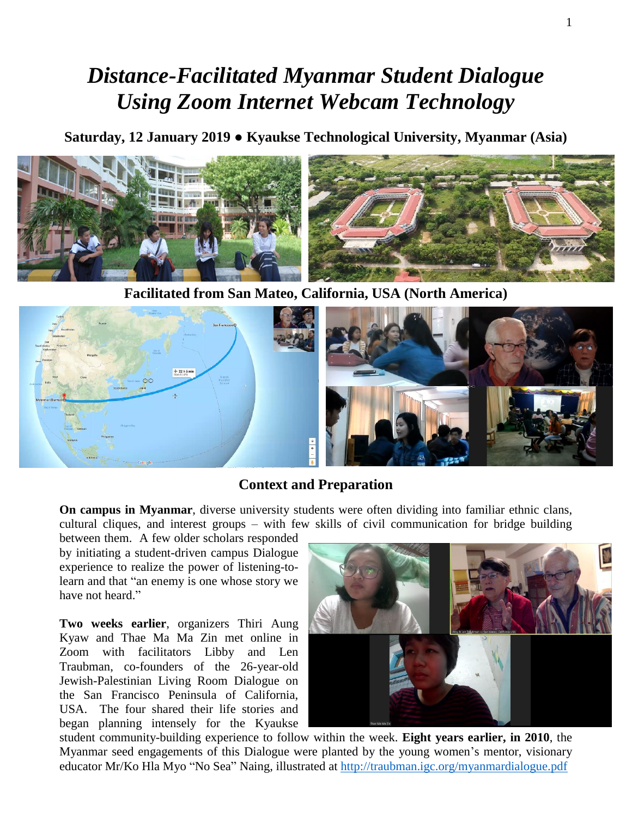## *Distance-Facilitated Myanmar Student Dialogue Using Zoom Internet Webcam Technology*

**Saturday, 12 January 2019 ● Kyaukse Technological University, Myanmar (Asia)**



**Facilitated from San Mateo, California, USA (North America)**



## **Context and Preparation**

**On campus in Myanmar**, diverse university students were often dividing into familiar ethnic clans, cultural cliques, and interest groups – with few skills of civil communication for bridge building

between them. A few older scholars responded by initiating a student-driven campus Dialogue experience to realize the power of listening-tolearn and that "an enemy is one whose story we have not heard."

**Two weeks earlier**, organizers Thiri Aung Kyaw and Thae Ma Ma Zin met online in Zoom with facilitators Libby and Len Traubman, co-founders of the 26-year-old Jewish-Palestinian Living Room Dialogue on the San Francisco Peninsula of California, USA. The four shared their life stories and began planning intensely for the Kyaukse



student community-building experience to follow within the week. **Eight years earlier, in 2010**, the Myanmar seed engagements of this Dialogue were planted by the young women's mentor, visionary educator Mr/Ko Hla Myo "No Sea" Naing, illustrated at <http://traubman.igc.org/myanmardialogue.pdf>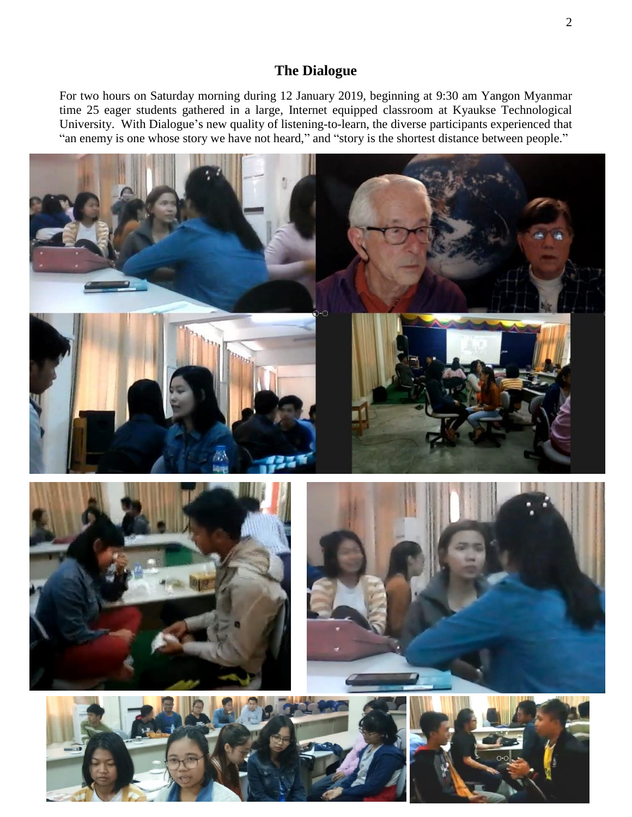## **The Dialogue**

For two hours on Saturday morning during 12 January 2019, beginning at 9:30 am Yangon Myanmar time 25 eager students gathered in a large, Internet equipped classroom at Kyaukse Technological University. With Dialogue's new quality of listening-to-learn, the diverse participants experienced that "an enemy is one whose story we have not heard," and "story is the shortest distance between people."









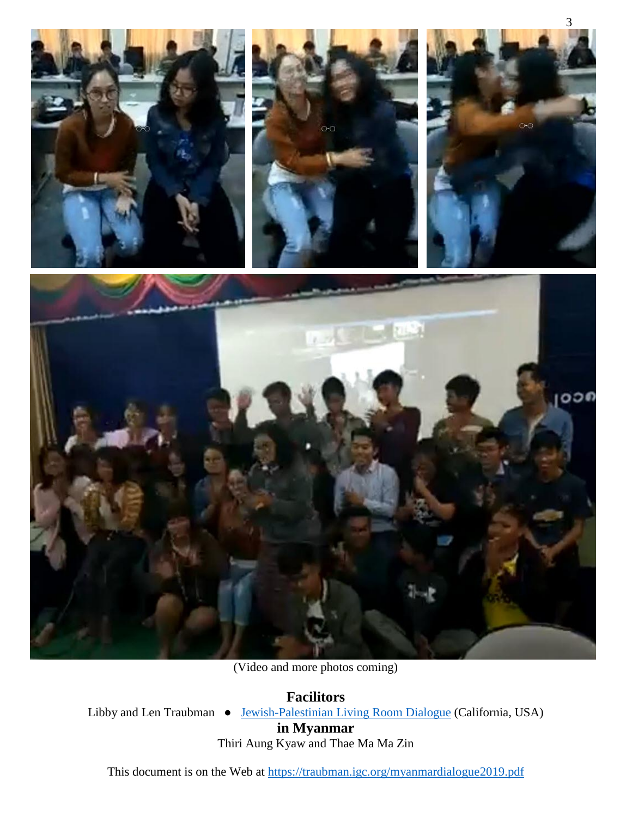

3

(Video and more photos coming)

**Facilitors** Libby and Len Traubman • [Jewish-Palestinian Living Room Dialogue](https://en.wikipedia.org/wiki/Jewish-Palestinian_Living_Room_Dialogue_Group) (California, USA)

**in Myanmar**

Thiri Aung Kyaw and Thae Ma Ma Zin

This document is on the Web at<https://traubman.igc.org/myanmardialogue2019.pdf>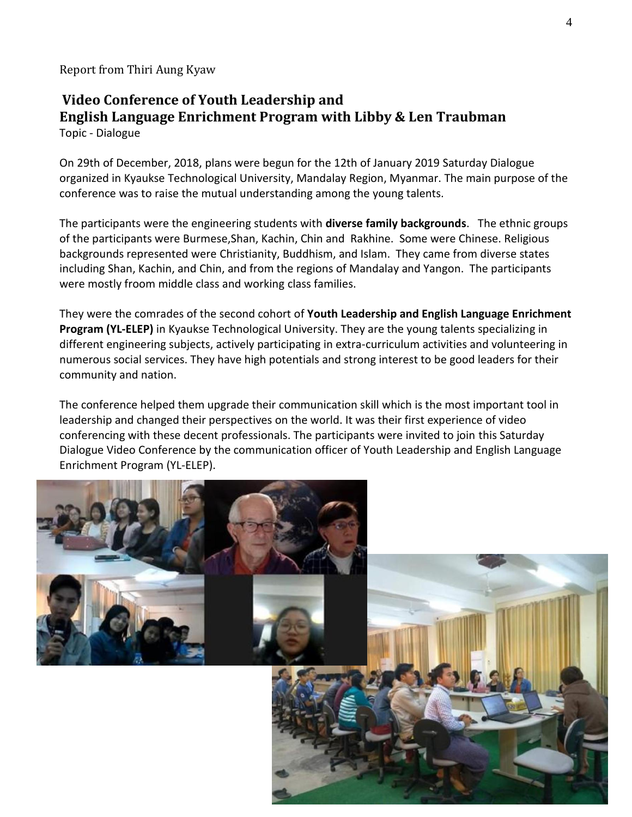Report from Thiri Aung Kyaw

## **Video Conference of Youth Leadership and English Language Enrichment Program with Libby & Len Traubman**  Topic - Dialogue

On 29th of December, 2018, plans were begun for the 12th of January 2019 Saturday Dialogue organized in Kyaukse Technological University, Mandalay Region, Myanmar. The main purpose of the conference was to raise the mutual understanding among the young talents.

The participants were the engineering students with **diverse family backgrounds**. The ethnic groups of the participants were Burmese,Shan, Kachin, Chin and Rakhine. Some were Chinese. Religious backgrounds represented were Christianity, Buddhism, and Islam. They came from diverse states including Shan, Kachin, and Chin, and from the regions of Mandalay and Yangon. The participants were mostly froom middle class and working class families.

They were the comrades of the second cohort of **Youth Leadership and English Language Enrichment Program (YL-ELEP)** in Kyaukse Technological University. They are the young talents specializing in different engineering subjects, actively participating in extra-curriculum activities and volunteering in numerous social services. They have high potentials and strong interest to be good leaders for their community and nation.

The conference helped them upgrade their communication skill which is the most important tool in leadership and changed their perspectives on the world. It was their first experience of video conferencing with these decent professionals. The participants were invited to join this Saturday Dialogue Video Conference by the communication officer of Youth Leadership and English Language Enrichment Program (YL-ELEP).